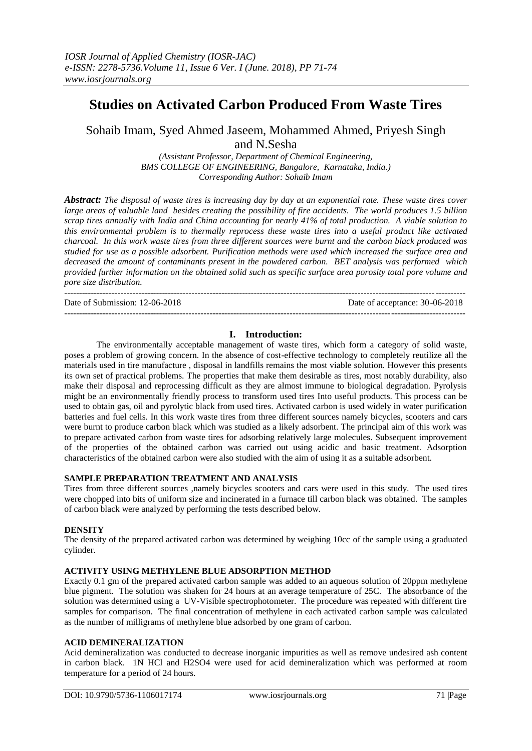# **Studies on Activated Carbon Produced From Waste Tires**

Sohaib Imam, Syed Ahmed Jaseem, Mohammed Ahmed, Priyesh Singh and N.Sesha

> *(Assistant Professor, Department of Chemical Engineering, BMS COLLEGE OF ENGINEERING, Bangalore, Karnataka, India.) Corresponding Author: Sohaib Imam*

*Abstract: The disposal of waste tires is increasing day by day at an exponential rate. These waste tires cover large areas of valuable land besides creating the possibility of fire accidents. The world produces 1.5 billion scrap tires annually with India and China accounting for nearly 41% of total production. A viable solution to this environmental problem is to thermally reprocess these waste tires into a useful product like activated charcoal. In this work waste tires from three different sources were burnt and the carbon black produced was studied for use as a possible adsorbent. Purification methods were used which increased the surface area and decreased the amount of contaminants present in the powdered carbon. BET analysis was performed which provided further information on the obtained solid such as specific surface area porosity total pore volume and pore size distribution.*

Date of Submission: 12-06-2018 Date of acceptance: 30-06-2018

---------------------------------------------------------------------------------------------------------------------------------------

---------------------------------------------------------------------------------------------------------------------------------------

# **I. Introduction:**

The environmentally acceptable management of waste tires, which form a category of solid waste, poses a problem of growing concern. In the absence of cost-effective technology to completely reutilize all the materials used in tire manufacture , disposal in landfills remains the most viable solution. However this presents its own set of practical problems. The properties that make them desirable as tires, most notably durability, also make their disposal and reprocessing difficult as they are almost immune to biological degradation. Pyrolysis might be an environmentally friendly process to transform used tires Into useful products. This process can be used to obtain gas, oil and pyrolytic black from used tires. Activated carbon is used widely in water purification batteries and fuel cells. In this work waste tires from three different sources namely bicycles, scooters and cars were burnt to produce carbon black which was studied as a likely adsorbent. The principal aim of this work was to prepare activated carbon from waste tires for adsorbing relatively large molecules. Subsequent improvement of the properties of the obtained carbon was carried out using acidic and basic treatment. Adsorption characteristics of the obtained carbon were also studied with the aim of using it as a suitable adsorbent.

## **SAMPLE PREPARATION TREATMENT AND ANALYSIS**

Tires from three different sources ,namely bicycles scooters and cars were used in this study. The used tires were chopped into bits of uniform size and incinerated in a furnace till carbon black was obtained. The samples of carbon black were analyzed by performing the tests described below.

#### **DENSITY**

The density of the prepared activated carbon was determined by weighing 10cc of the sample using a graduated cylinder.

#### **ACTIVITY USING METHYLENE BLUE ADSORPTION METHOD**

Exactly 0.1 gm of the prepared activated carbon sample was added to an aqueous solution of 20ppm methylene blue pigment. The solution was shaken for 24 hours at an average temperature of 25C. The absorbance of the solution was determined using a UV-Visible spectrophotometer. The procedure was repeated with different tire samples for comparison. The final concentration of methylene in each activated carbon sample was calculated as the number of milligrams of methylene blue adsorbed by one gram of carbon.

#### **ACID DEMINERALIZATION**

Acid demineralization was conducted to decrease inorganic impurities as well as remove undesired ash content in carbon black. 1N HCl and H2SO4 were used for acid demineralization which was performed at room temperature for a period of 24 hours.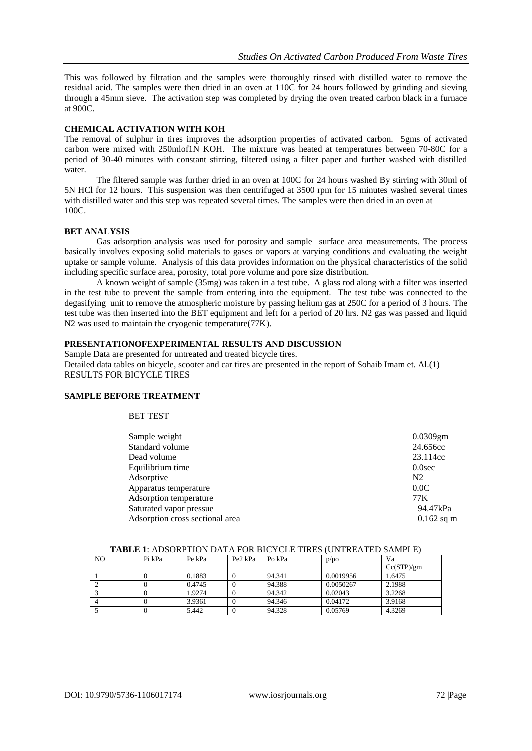This was followed by filtration and the samples were thoroughly rinsed with distilled water to remove the residual acid. The samples were then dried in an oven at 110C for 24 hours followed by grinding and sieving through a 45mm sieve. The activation step was completed by drying the oven treated carbon black in a furnace at 900C.

### **CHEMICAL ACTIVATION WITH KOH**

The removal of sulphur in tires improves the adsorption properties of activated carbon. 5gms of activated carbon were mixed with 250mlof1N KOH. The mixture was heated at temperatures between 70-80C for a period of 30-40 minutes with constant stirring, filtered using a filter paper and further washed with distilled water.

The filtered sample was further dried in an oven at 100C for 24 hours washed By stirring with 30ml of 5N HCl for 12 hours. This suspension was then centrifuged at 3500 rpm for 15 minutes washed several times with distilled water and this step was repeated several times. The samples were then dried in an oven at 100C.

#### **BET ANALYSIS**

Gas adsorption analysis was used for porosity and sample surface area measurements. The process basically involves exposing solid materials to gases or vapors at varying conditions and evaluating the weight uptake or sample volume. Analysis of this data provides information on the physical characteristics of the solid including specific surface area, porosity, total pore volume and pore size distribution.

A known weight of sample (35mg) was taken in a test tube. A glass rod along with a filter was inserted in the test tube to prevent the sample from entering into the equipment. The test tube was connected to the degasifying unit to remove the atmospheric moisture by passing helium gas at 250C for a period of 3 hours. The test tube was then inserted into the BET equipment and left for a period of 20 hrs. N2 gas was passed and liquid N2 was used to maintain the cryogenic temperature(77K).

### **PRESENTATIONOFEXPERIMENTAL RESULTS AND DISCUSSION**

Sample Data are presented for untreated and treated bicycle tires. Detailed data tables on bicycle, scooter and car tires are presented in the report of Sohaib Imam et. Al.(1) RESULTS FOR BICYCLE TIRES

#### **SAMPLE BEFORE TREATMENT**

### BET TEST

| $0.0309$ gm    |
|----------------|
| 24.656cc       |
| 23.114cc       |
| $0.0$ sec      |
| N <sub>2</sub> |
| 0.0C           |
| 77 K           |
| 94.47kPa       |
| $0.162$ sq m   |
|                |

| NO | Pi kPa | Pe kPa | Pe2 kPa | Po kPa | p/po      | Va         |  |
|----|--------|--------|---------|--------|-----------|------------|--|
|    |        |        |         |        |           | Cc(STP)/gm |  |
|    |        | 0.1883 |         | 94.341 | 0.0019956 | 1.6475     |  |
|    |        | 0.4745 |         | 94.388 | 0.0050267 | 2.1988     |  |
|    |        | 1.9274 |         | 94.342 | 0.02043   | 3.2268     |  |
|    |        | 3.9361 |         | 94.346 | 0.04172   | 3.9168     |  |
|    |        | 5.442  |         | 94.328 | 0.05769   | 4.3269     |  |

#### **TABLE 1**: ADSORPTION DATA FOR BICYCLE TIRES (UNTREATED SAMPLE)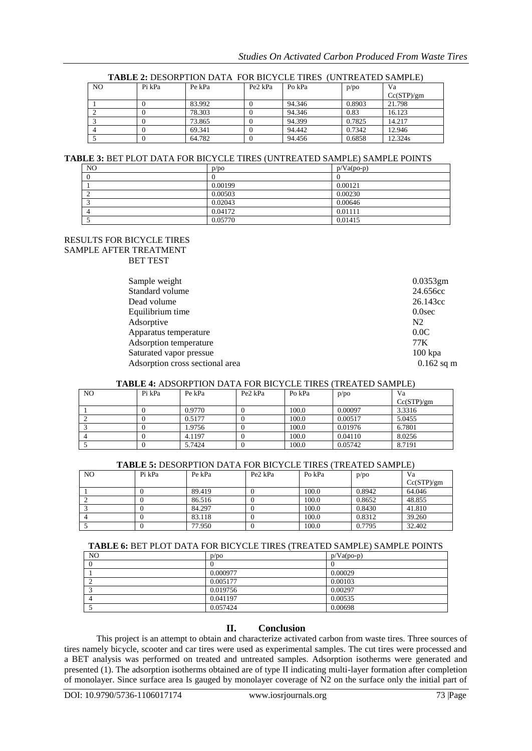| N <sub>O</sub> | Pi kPa | Pe kPa | Pe2 kPa | Po kPa | p/po   | Va         |
|----------------|--------|--------|---------|--------|--------|------------|
|                |        |        |         |        |        | Cc(STP)/gm |
|                |        | 83.992 |         | 94.346 | 0.8903 | 21.798     |
|                |        | 78.303 |         | 94.346 | 0.83   | 16.123     |
|                |        | 73.865 |         | 94.399 | 0.7825 | 14.217     |
|                |        | 69.341 |         | 94.442 | 0.7342 | 12.946     |
|                |        | 64.782 |         | 94.456 | 0.6858 | 12.324s    |

#### **TABLE 2:** DESORPTION DATA FOR BICYCLE TIRES (UNTREATED SAMPLE)

## **TABLE 3:** BET PLOT DATA FOR BICYCLE TIRES (UNTREATED SAMPLE) SAMPLE POINTS

| N <sub>O</sub> | p/po    | $p/Va(po-p)$ |
|----------------|---------|--------------|
|                |         |              |
|                | 0.00199 | 0.00121      |
|                | 0.00503 | 0.00230      |
|                | 0.02043 | 0.00646      |
|                | 0.04172 | 0.01111      |
|                | 0.05770 | 0.01415      |

#### RESULTS FOR BICYCLE TIRES SAMPLE AFTER TREATMENT BET TEST

| Standard volume<br>Dead volume<br>Equilibrium time<br>0.0 <sub>sec</sub><br>Adsorptive<br>N <sub>2</sub><br>0.0C<br>Apparatus temperature<br>Adsorption temperature<br>77 K<br>Saturated vapor pressue<br>$100$ kpa<br>Adsorption cross sectional area | Sample weight | $0.0353$ gm  |
|--------------------------------------------------------------------------------------------------------------------------------------------------------------------------------------------------------------------------------------------------------|---------------|--------------|
|                                                                                                                                                                                                                                                        |               | 24.656cc     |
|                                                                                                                                                                                                                                                        |               | 26.143cc     |
|                                                                                                                                                                                                                                                        |               |              |
|                                                                                                                                                                                                                                                        |               |              |
|                                                                                                                                                                                                                                                        |               |              |
|                                                                                                                                                                                                                                                        |               |              |
|                                                                                                                                                                                                                                                        |               |              |
|                                                                                                                                                                                                                                                        |               | $0.162$ sq m |

#### **TABLE 4:** ADSORPTION DATA FOR BICYCLE TIRES (TREATED SAMPLE)

|                |        |        |                                 |        | 1.1000 - 1.10001\1101\0111111 01\0101000 11\00\11\01100 01\11110 |            |
|----------------|--------|--------|---------------------------------|--------|------------------------------------------------------------------|------------|
| N <sub>O</sub> | Pi kPa | Pe kPa | Pe <sub>2</sub> kP <sub>a</sub> | Po kPa | p/po                                                             | Va         |
|                |        |        |                                 |        |                                                                  | Cc(STP)/gm |
|                |        | 0.9770 |                                 | 100.0  | 0.00097                                                          | 3.3316     |
|                |        | 0.5177 |                                 | 100.0  | 0.00517                                                          | 5.0455     |
|                |        | 1.9756 |                                 | 100.0  | 0.01976                                                          | 6.7801     |
|                |        | 4.1197 |                                 | 100.0  | 0.04110                                                          | 8.0256     |
|                |        | 5.7424 |                                 | 100.0  | 0.05742                                                          | 8.7191     |

# **TABLE 5:** DESORPTION DATA FOR BICYCLE TIRES (TREATED SAMPLE)

| NO. | Pi kPa | Pe kPa | Pe <sub>2</sub> kP <sub>a</sub> | Po kPa | p/po   | Va         |
|-----|--------|--------|---------------------------------|--------|--------|------------|
|     |        |        |                                 |        |        | Cc(STP)/gm |
|     |        | 89.419 |                                 | 100.0  | 0.8942 | 64.046     |
|     |        | 86.516 |                                 | 100.0  | 0.8652 | 48.855     |
|     |        | 84.297 |                                 | 100.0  | 0.8430 | 41.810     |
|     |        | 83.118 |                                 | 100.0  | 0.8312 | 39.260     |
|     |        | 77.950 |                                 | 100.0  | 0.7795 | 32.402     |

#### **TABLE 6:** BET PLOT DATA FOR BICYCLE TIRES (TREATED SAMPLE) SAMPLE POINTS

| NO. | D/DO     | $p/Va(po-p)$ |
|-----|----------|--------------|
|     |          |              |
|     | 0.000977 | 0.00029      |
|     | 0.005177 | 0.00103      |
|     | 0.019756 | 0.00297      |
|     | 0.041197 | 0.00535      |
|     | 0.057424 | 0.00698      |

# **II. Conclusion**

This project is an attempt to obtain and characterize activated carbon from waste tires. Three sources of tires namely bicycle, scooter and car tires were used as experimental samples. The cut tires were processed and a BET analysis was performed on treated and untreated samples. Adsorption isotherms were generated and presented (1). The adsorption isotherms obtained are of type II indicating multi-layer formation after completion of monolayer. Since surface area Is gauged by monolayer coverage of N2 on the surface only the initial part of